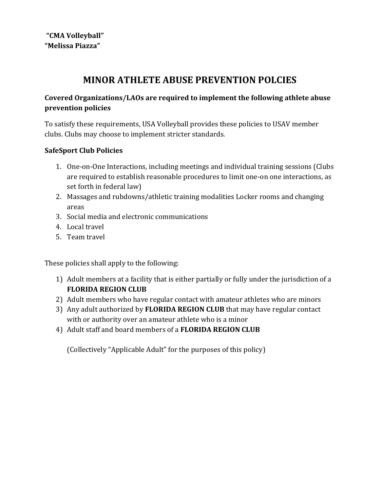# **MINOR ATHLETE ABUSE PREVENTION POLCIES**

# **Covered Organizations/LAOs are required to implement the following athlete abuse prevention policies**

To satisfy these requirements, USA Volleyball provides these policies to USAV member clubs. Clubs may choose to implement stricter standards.

# **SafeSport Club Policies**

- 1. One-on-One Interactions, including meetings and individual training sessions (Clubs are required to establish reasonable procedures to limit one-on one interactions, as set forth in federal law)
- 2. Massages and rubdowns/athletic training modalities Locker rooms and changing areas
- 3. Social media and electronic communications
- 4. Local travel
- 5. Team travel

These policies shall apply to the following:

- 1) Adult members at a facility that is either partially or fully under the jurisdiction of a **FLORIDA REGION CLUB**
- 2) Adult members who have regular contact with amateur athletes who are minors
- 3) Any adult authorized by **FLORIDA REGION CLUB** that may have regular contact with or authority over an amateur athlete who is a minor
- 4) Adult staff and board members of a **FLORIDA REGION CLUB**

(Collectively "Applicable Adult" for the purposes of this policy)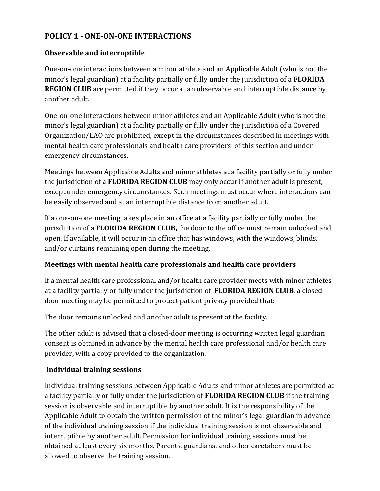# **POLICY 1 - ONE-ON-ONE INTERACTIONS**

## **Observable and interruptible**

One-on-one interactions between a minor athlete and an Applicable Adult (who is not the minor's legal guardian) at a facility partially or fully under the jurisdiction of a **FLORIDA REGION CLUB** are permitted if they occur at an observable and interruptible distance by another adult.

One-on-one interactions between minor athletes and an Applicable Adult (who is not the minor's legal guardian) at a facility partially or fully under the jurisdiction of a Covered Organization/LAO are prohibited, except in the circumstances described in meetings with mental health care professionals and health care providers of this section and under emergency circumstances.

Meetings between Applicable Adults and minor athletes at a facility partially or fully under the jurisdiction of a **FLORIDA REGION CLUB** may only occur if another adult is present, except under emergency circumstances. Such meetings must occur where interactions can be easily observed and at an interruptible distance from another adult.

If a one-on-one meeting takes place in an office at a facility partially or fully under the jurisdiction of a **FLORIDA REGION CLUB,** the door to the office must remain unlocked and open. If available, it will occur in an office that has windows, with the windows, blinds, and/or curtains remaining open during the meeting.

## **Meetings with mental health care professionals and health care providers**

If a mental health care professional and/or health care provider meets with minor athletes at a facility partially or fully under the jurisdiction of **FLORIDA REGION CLUB**, a closeddoor meeting may be permitted to protect patient privacy provided that:

The door remains unlocked and another adult is present at the facility.

The other adult is advised that a closed-door meeting is occurring written legal guardian consent is obtained in advance by the mental health care professional and/or health care provider, with a copy provided to the organization.

## **Individual training sessions**

Individual training sessions between Applicable Adults and minor athletes are permitted at a facility partially or fully under the jurisdiction of **FLORIDA REGION CLUB** if the training session is observable and interruptible by another adult. It is the responsibility of the Applicable Adult to obtain the written permission of the minor's legal guardian in advance of the individual training session if the individual training session is not observable and interruptible by another adult. Permission for individual training sessions must be obtained at least every six months. Parents, guardians, and other caretakers must be allowed to observe the training session.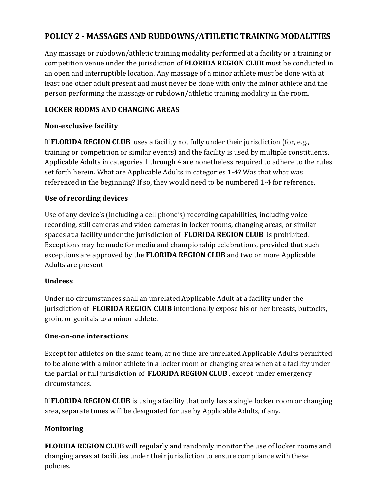# **POLICY 2 - MASSAGES AND RUBDOWNS/ATHLETIC TRAINING MODALITIES**

Any massage or rubdown/athletic training modality performed at a facility or a training or competition venue under the jurisdiction of **FLORIDA REGION CLUB** must be conducted in an open and interruptible location. Any massage of a minor athlete must be done with at least one other adult present and must never be done with only the minor athlete and the person performing the massage or rubdown/athletic training modality in the room.

# **LOCKER ROOMS AND CHANGING AREAS**

## **Non-exclusive facility**

If **FLORIDA REGION CLUB** uses a facility not fully under their jurisdiction (for, e.g., training or competition or similar events) and the facility is used by multiple constituents, Applicable Adults in categories 1 through 4 are nonetheless required to adhere to the rules set forth herein. What are Applicable Adults in categories 1-4? Was that what was referenced in the beginning? If so, they would need to be numbered 1-4 for reference.

# **Use of recording devices**

Use of any device's (including a cell phone's) recording capabilities, including voice recording, still cameras and video cameras in locker rooms, changing areas, or similar spaces at a facility under the jurisdiction of **FLORIDA REGION CLUB** is prohibited. Exceptions may be made for media and championship celebrations, provided that such exceptions are approved by the **FLORIDA REGION CLUB** and two or more Applicable Adults are present.

## **Undress**

Under no circumstances shall an unrelated Applicable Adult at a facility under the jurisdiction of **FLORIDA REGION CLUB** intentionally expose his or her breasts, buttocks, groin, or genitals to a minor athlete.

## **One-on-one interactions**

Except for athletes on the same team, at no time are unrelated Applicable Adults permitted to be alone with a minor athlete in a locker room or changing area when at a facility under the partial or full jurisdiction of **FLORIDA REGION CLUB** , except under emergency circumstances.

If **FLORIDA REGION CLUB** is using a facility that only has a single locker room or changing area, separate times will be designated for use by Applicable Adults, if any.

# **Monitoring**

**FLORIDA REGION CLUB** will regularly and randomly monitor the use of locker rooms and changing areas at facilities under their jurisdiction to ensure compliance with these policies.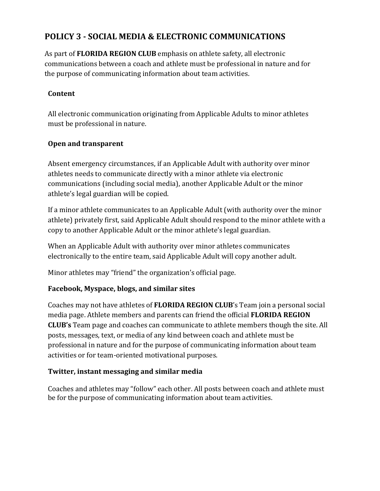# **POLICY 3 - SOCIAL MEDIA & ELECTRONIC COMMUNICATIONS**

As part of **FLORIDA REGION CLUB** emphasis on athlete safety, all electronic communications between a coach and athlete must be professional in nature and for the purpose of communicating information about team activities.

## **Content**

All electronic communication originating from Applicable Adults to minor athletes must be professional in nature.

## **Open and transparent**

Absent emergency circumstances, if an Applicable Adult with authority over minor athletes needs to communicate directly with a minor athlete via electronic communications (including social media), another Applicable Adult or the minor athlete's legal guardian will be copied.

If a minor athlete communicates to an Applicable Adult (with authority over the minor athlete) privately first, said Applicable Adult should respond to the minor athlete with a copy to another Applicable Adult or the minor athlete's legal guardian.

When an Applicable Adult with authority over minor athletes communicates electronically to the entire team, said Applicable Adult will copy another adult.

Minor athletes may "friend" the organization's official page.

## **Facebook, Myspace, blogs, and similar sites**

Coaches may not have athletes of **FLORIDA REGION CLUB**'s Team join a personal social media page. Athlete members and parents can friend the official **FLORIDA REGION CLUB's** Team page and coaches can communicate to athlete members though the site. All posts, messages, text, or media of any kind between coach and athlete must be professional in nature and for the purpose of communicating information about team activities or for team-oriented motivational purposes.

## **Twitter, instant messaging and similar media**

Coaches and athletes may "follow" each other. All posts between coach and athlete must be for the purpose of communicating information about team activities.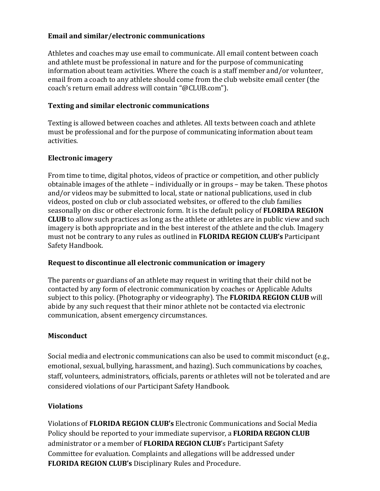#### **Email and similar/electronic communications**

Athletes and coaches may use email to communicate. All email content between coach and athlete must be professional in nature and for the purpose of communicating information about team activities. Where the coach is a staff member and/or volunteer, email from a coach to any athlete should come from the club website email center (the coach's return email address will contain "@CLUB.com").

#### **Texting and similar electronic communications**

Texting is allowed between coaches and athletes. All texts between coach and athlete must be professional and for the purpose of communicating information about team activities.

#### **Electronic imagery**

From time to time, digital photos, videos of practice or competition, and other publicly obtainable images of the athlete – individually or in groups – may be taken. These photos and/or videos may be submitted to local, state or national publications, used in club videos, posted on club or club associated websites, or offered to the club families seasonally on disc or other electronic form. It is the default policy of **FLORIDA REGION CLUB** to allow such practices as long as the athlete or athletes are in public view and such imagery is both appropriate and in the best interest of the athlete and the club. Imagery must not be contrary to any rules as outlined in **FLORIDA REGION CLUB's** Participant Safety Handbook.

#### **Request to discontinue all electronic communication or imagery**

The parents or guardians of an athlete may request in writing that their child not be contacted by any form of electronic communication by coaches or Applicable Adults subject to this policy. (Photography or videography). The **FLORIDA REGION CLUB** will abide by any such request that their minor athlete not be contacted via electronic communication, absent emergency circumstances.

#### **Misconduct**

Social media and electronic communications can also be used to commit misconduct (e.g., emotional, sexual, bullying, harassment, and hazing). Such communications by coaches, staff, volunteers, administrators, officials, parents or athletes will not be tolerated and are considered violations of our Participant Safety Handbook.

## **Violations**

Violations of **FLORIDA REGION CLUB's** Electronic Communications and Social Media Policy should be reported to your immediate supervisor, a **FLORIDA REGION CLUB** administrator or a member of **FLORIDA REGION CLUB**'s Participant Safety Committee for evaluation. Complaints and allegations will be addressed under **FLORIDA REGION CLUB's** Disciplinary Rules and Procedure.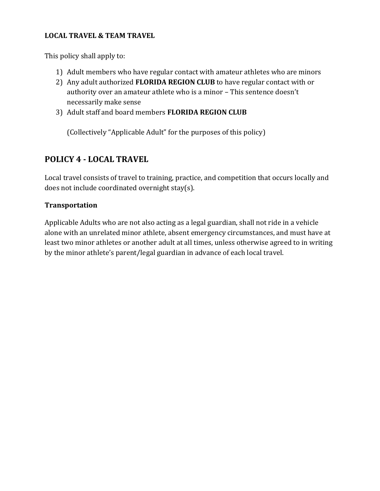#### **LOCAL TRAVEL & TEAM TRAVEL**

This policy shall apply to:

- 1) Adult members who have regular contact with amateur athletes who are minors
- 2) Any adult authorized **FLORIDA REGION CLUB** to have regular contact with or authority over an amateur athlete who is a minor – This sentence doesn't necessarily make sense
- 3) Adult staff and board members **FLORIDA REGION CLUB**

(Collectively "Applicable Adult" for the purposes of this policy)

# **POLICY 4 - LOCAL TRAVEL**

Local travel consists of travel to training, practice, and competition that occurs locally and does not include coordinated overnight stay(s).

#### **Transportation**

Applicable Adults who are not also acting as a legal guardian, shall not ride in a vehicle alone with an unrelated minor athlete, absent emergency circumstances, and must have at least two minor athletes or another adult at all times, unless otherwise agreed to in writing by the minor athlete's parent/legal guardian in advance of each local travel.